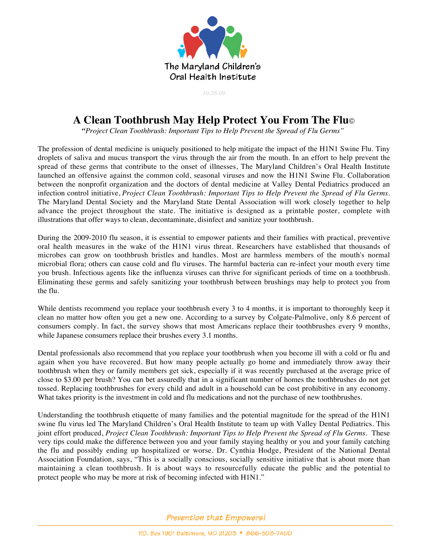

*10-26-09*

## **A Clean Toothbrush May Help Protect You From The Flu**©

 *"Project Clean Toothbrush: Important Tips to Help Prevent the Spread of Flu Germs"*

The profession of dental medicine is uniquely positioned to help mitigate the impact of the H1N1 Swine Flu. Tiny droplets of saliva and mucus transport the virus through the air from the mouth. In an effort to help prevent the spread of these germs that contribute to the onset of illnesses, The Maryland Children's Oral Health Institute launched an offensive against the common cold, seasonal viruses and now the H1N1 Swine Flu. Collaboration between the nonprofit organization and the doctors of dental medicine at Valley Dental Pediatrics produced an infection control initiative, *Project Clean Toothbrush: Important Tips to Help Prevent the Spread of Flu Germs.* The Maryland Dental Society and the Maryland State Dental Association will work closely together to help advance the project throughout the state. The initiative is designed as a printable poster, complete with illustrations that offer ways to clean, decontaminate, disinfect and sanitize your toothbrush.

During the 2009-2010 flu season, it is essential to empower patients and their families with practical, preventive oral health measures in the wake of the H1N1 virus threat. Researchers have established that thousands of microbes can grow on toothbrush bristles and handles. Most are harmless members of the mouth's normal microbial flora; others can cause cold and flu viruses. The harmful bacteria can re-infect your mouth every time you brush. Infectious agents like the influenza viruses can thrive for significant periods of time on a toothbrush. Eliminating these germs and safely sanitizing your toothbrush between brushings may help to protect you from the flu.

While dentists recommend you replace your toothbrush every 3 to 4 months, it is important to thoroughly keep it clean no matter how often you get a new one. According to a survey by Colgate-Palmolive, only 8.6 percent of consumers comply. In fact, the survey shows that most Americans replace their toothbrushes every 9 months, while Japanese consumers replace their brushes every 3.1 months.

Dental professionals also recommend that you replace your toothbrush when you become ill with a cold or flu and again when you have recovered. But how many people actually go home and immediately throw away their toothbrush when they or family members get sick, especially if it was recently purchased at the average price of close to \$3.00 per brush? You can bet assuredly that in a significant number of homes the toothbrushes do not get tossed. Replacing toothbrushes for every child and adult in a household can be cost prohibitive in any economy. What takes priority is the investment in cold and flu medications and not the purchase of new toothbrushes.

Understanding the toothbrush etiquette of many families and the potential magnitude for the spread of the H1N1 swine flu virus led The Maryland Children's Oral Health Institute to team up with Valley Dental Pediatrics. This joint effort produced, *Project Clean Toothbrush: Important Tips to Help Prevent the Spread of Flu Germs*. These very tips could make the difference between you and your family staying healthy or you and your family catching the flu and possibly ending up hospitalized or worse. Dr. Cynthia Hodge, President of the National Dental Association Foundation, says, "This is a socially conscious, socially sensitive initiative that is about more than maintaining a clean toothbrush. It is about ways to resourcefully educate the public and the potential to protect people who may be more at risk of becoming infected with H1N1."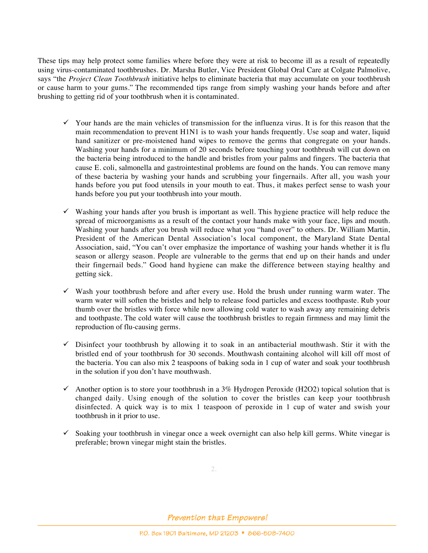These tips may help protect some families where before they were at risk to become ill as a result of repeatedly using virus-contaminated toothbrushes. Dr. Marsha Butler, Vice President Global Oral Care at Colgate Palmolive, says "the *Project Clean Toothbrush* initiative helps to eliminate bacteria that may accumulate on your toothbrush or cause harm to your gums." The recommended tips range from simply washing your hands before and after brushing to getting rid of your toothbrush when it is contaminated.

- $\checkmark$  Your hands are the main vehicles of transmission for the influenza virus. It is for this reason that the main recommendation to prevent H1N1 is to wash your hands frequently. Use soap and water, liquid hand sanitizer or pre-moistened hand wipes to remove the germs that congregate on your hands. Washing your hands for a minimum of 20 seconds before touching your toothbrush will cut down on the bacteria being introduced to the handle and bristles from your palms and fingers. The bacteria that cause E. coli, salmonella and gastrointestinal problems are found on the hands. You can remove many of these bacteria by washing your hands and scrubbing your fingernails. After all, you wash your hands before you put food utensils in your mouth to eat. Thus, it makes perfect sense to wash your hands before you put your toothbrush into your mouth.
- $\checkmark$  Washing your hands after you brush is important as well. This hygiene practice will help reduce the spread of microorganisms as a result of the contact your hands make with your face, lips and mouth. Washing your hands after you brush will reduce what you "hand over" to others. Dr. William Martin, President of the American Dental Association's local component, the Maryland State Dental Association, said, "You can't over emphasize the importance of washing your hands whether it is flu season or allergy season. People are vulnerable to the germs that end up on their hands and under their fingernail beds." Good hand hygiene can make the difference between staying healthy and getting sick.
- $\checkmark$  Wash your toothbrush before and after every use. Hold the brush under running warm water. The warm water will soften the bristles and help to release food particles and excess toothpaste. Rub your thumb over the bristles with force while now allowing cold water to wash away any remaining debris and toothpaste. The cold water will cause the toothbrush bristles to regain firmness and may limit the reproduction of flu-causing germs.
- $\checkmark$  Disinfect your toothbrush by allowing it to soak in an antibacterial mouthwash. Stir it with the bristled end of your toothbrush for 30 seconds. Mouthwash containing alcohol will kill off most of the bacteria. You can also mix 2 teaspoons of baking soda in 1 cup of water and soak your toothbrush in the solution if you don't have mouthwash.
- Another option is to store your toothbrush in a  $3\%$  Hydrogen Peroxide (H2O2) topical solution that is changed daily. Using enough of the solution to cover the bristles can keep your toothbrush disinfected. A quick way is to mix 1 teaspoon of peroxide in 1 cup of water and swish your toothbrush in it prior to use.
- $\checkmark$  Soaking your toothbrush in vinegar once a week overnight can also help kill germs. White vinegar is preferable; brown vinegar might stain the bristles.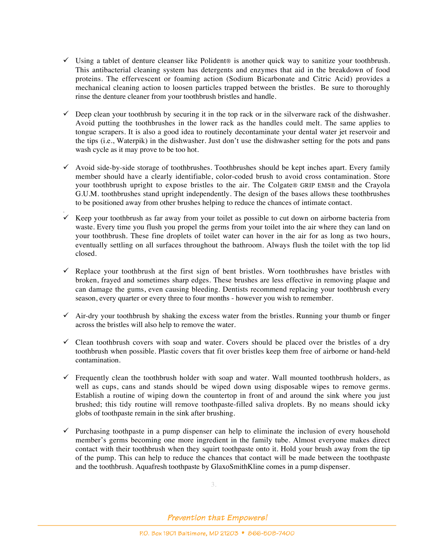- $\checkmark$  Using a tablet of denture cleanser like Polident® is another quick way to sanitize your toothbrush. This antibacterial cleaning system has detergents and enzymes that aid in the breakdown of food proteins. The effervescent or foaming action (Sodium Bicarbonate and Citric Acid) provides a mechanical cleaning action to loosen particles trapped between the bristles. Be sure to thoroughly rinse the denture cleaner from your toothbrush bristles and handle.
- $\checkmark$  Deep clean your toothbrush by securing it in the top rack or in the silverware rack of the dishwasher. Avoid putting the toothbrushes in the lower rack as the handles could melt. The same applies to tongue scrapers. It is also a good idea to routinely decontaminate your dental water jet reservoir and the tips (i.e., Waterpik) in the dishwasher. Just don't use the dishwasher setting for the pots and pans wash cycle as it may prove to be too hot.
- $\checkmark$  Avoid side-by-side storage of toothbrushes. Toothbrushes should be kept inches apart. Every family member should have a clearly identifiable, color-coded brush to avoid cross contamination. Store your toothbrush upright to expose bristles to the air. The Colgate® GRIP EMS® and the Crayola G.U.M. toothbrushes stand upright independently. The design of the bases allows these toothbrushes to be positioned away from other brushes helping to reduce the chances of intimate contact.
- .  $\checkmark$  Keep your toothbrush as far away from your toilet as possible to cut down on airborne bacteria from waste. Every time you flush you propel the germs from your toilet into the air where they can land on your toothbrush. These fine droplets of toilet water can hover in the air for as long as two hours, eventually settling on all surfaces throughout the bathroom. Always flush the toilet with the top lid closed.
- $\checkmark$  Replace your toothbrush at the first sign of bent bristles. Worn toothbrushes have bristles with broken, frayed and sometimes sharp edges. These brushes are less effective in removing plaque and can damage the gums, even causing bleeding. Dentists recommend replacing your toothbrush every season, every quarter or every three to four months - however you wish to remember.
- $\checkmark$  Air-dry your toothbrush by shaking the excess water from the bristles. Running your thumb or finger across the bristles will also help to remove the water.
- $\checkmark$  Clean toothbrush covers with soap and water. Covers should be placed over the bristles of a dry toothbrush when possible. Plastic covers that fit over bristles keep them free of airborne or hand-held contamination.
- $\checkmark$  Frequently clean the toothbrush holder with soap and water. Wall mounted toothbrush holders, as well as cups, cans and stands should be wiped down using disposable wipes to remove germs. Establish a routine of wiping down the countertop in front of and around the sink where you just brushed; this tidy routine will remove toothpaste-filled saliva droplets. By no means should icky globs of toothpaste remain in the sink after brushing.
- $\checkmark$  Purchasing toothpaste in a pump dispenser can help to eliminate the inclusion of every household member's germs becoming one more ingredient in the family tube. Almost everyone makes direct contact with their toothbrush when they squirt toothpaste onto it. Hold your brush away from the tip of the pump. This can help to reduce the chances that contact will be made between the toothpaste and the toothbrush. Aquafresh toothpaste by GlaxoSmithKline comes in a pump dispenser.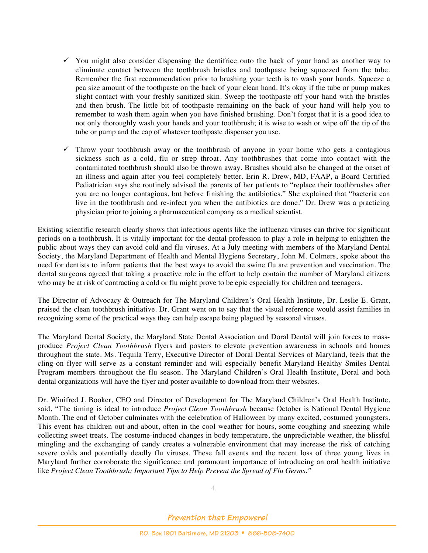- $\checkmark$  You might also consider dispensing the dentifrice onto the back of your hand as another way to eliminate contact between the toothbrush bristles and toothpaste being squeezed from the tube. Remember the first recommendation prior to brushing your teeth is to wash your hands. Squeeze a pea size amount of the toothpaste on the back of your clean hand. It's okay if the tube or pump makes slight contact with your freshly sanitized skin. Sweep the toothpaste off your hand with the bristles and then brush. The little bit of toothpaste remaining on the back of your hand will help you to remember to wash them again when you have finished brushing. Don't forget that it is a good idea to not only thoroughly wash your hands and your toothbrush; it is wise to wash or wipe off the tip of the tube or pump and the cap of whatever toothpaste dispenser you use.
- $\checkmark$  Throw your toothbrush away or the toothbrush of anyone in your home who gets a contagious sickness such as a cold, flu or strep throat. Any toothbrushes that come into contact with the contaminated toothbrush should also be thrown away. Brushes should also be changed at the onset of an illness and again after you feel completely better. Erin R. Drew, MD, FAAP, a Board Certified Pediatrician says she routinely advised the parents of her patients to "replace their toothbrushes after you are no longer contagious, but before finishing the antibiotics." She explained that "bacteria can live in the toothbrush and re-infect you when the antibiotics are done." Dr. Drew was a practicing physician prior to joining a pharmaceutical company as a medical scientist.

Existing scientific research clearly shows that infectious agents like the influenza viruses can thrive for significant periods on a toothbrush. It is vitally important for the dental profession to play a role in helping to enlighten the public about ways they can avoid cold and flu viruses. At a July meeting with members of the Maryland Dental Society, the Maryland Department of Health and Mental Hygiene Secretary, John M. Colmers, spoke about the need for dentists to inform patients that the best ways to avoid the swine flu are prevention and vaccination. The dental surgeons agreed that taking a proactive role in the effort to help contain the number of Maryland citizens who may be at risk of contracting a cold or flu might prove to be epic especially for children and teenagers.

The Director of Advocacy & Outreach for The Maryland Children's Oral Health Institute, Dr. Leslie E. Grant, praised the clean toothbrush initiative. Dr. Grant went on to say that the visual reference would assist families in recognizing some of the practical ways they can help escape being plagued by seasonal viruses.

The Maryland Dental Society, the Maryland State Dental Association and Doral Dental will join forces to massproduce *Project Clean Toothbrush* flyers and posters to elevate prevention awareness in schools and homes throughout the state. Ms. Tequila Terry, Executive Director of Doral Dental Services of Maryland, feels that the cling-on flyer will serve as a constant reminder and will especially benefit Maryland Healthy Smiles Dental Program members throughout the flu season. The Maryland Children's Oral Health Institute, Doral and both dental organizations will have the flyer and poster available to download from their websites.

Dr. Winifred J. Booker, CEO and Director of Development for The Maryland Children's Oral Health Institute, said, "The timing is ideal to introduce *Project Clean Toothbrush* because October is National Dental Hygiene Month. The end of October culminates with the celebration of Halloween by many excited, costumed youngsters. This event has children out-and-about, often in the cool weather for hours, some coughing and sneezing while collecting sweet treats. The costume-induced changes in body temperature, the unpredictable weather, the blissful mingling and the exchanging of candy creates a vulnerable environment that may increase the risk of catching severe colds and potentially deadly flu viruses. These fall events and the recent loss of three young lives in Maryland further corroborate the significance and paramount importance of introducing an oral health initiative like *Project Clean Toothbrush: Important Tips to Help Prevent the Spread of Flu Germs."*

4.